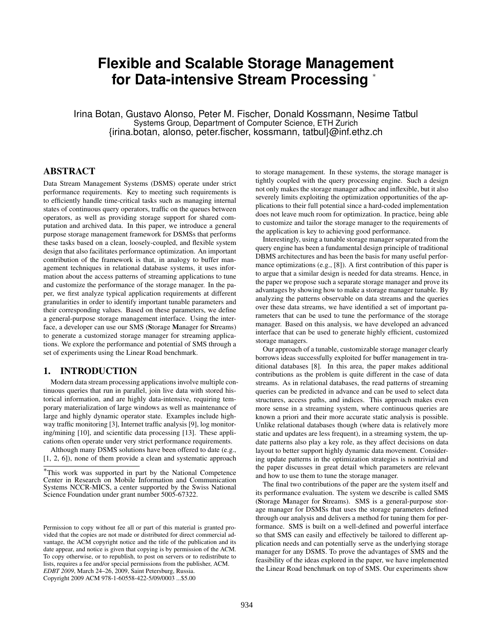# **Flexible and Scalable Storage Management for Data-intensive Stream Processing** <sup>∗</sup>

Irina Botan, Gustavo Alonso, Peter M. Fischer, Donald Kossmann, Nesime Tatbul Systems Group, Department of Computer Science, ETH Zurich {irina.botan, alonso, peter.fischer, kossmann, tatbul}@inf.ethz.ch

# ABSTRACT

Data Stream Management Systems (DSMS) operate under strict performance requirements. Key to meeting such requirements is to efficiently handle time-critical tasks such as managing internal states of continuous query operators, traffic on the queues between operators, as well as providing storage support for shared computation and archived data. In this paper, we introduce a general purpose storage management framework for DSMSs that performs these tasks based on a clean, loosely-coupled, and flexible system design that also facilitates performance optimization. An important contribution of the framework is that, in analogy to buffer management techniques in relational database systems, it uses information about the access patterns of streaming applications to tune and customize the performance of the storage manager. In the paper, we first analyze typical application requirements at different granularities in order to identify important tunable parameters and their corresponding values. Based on these parameters, we define a general-purpose storage management interface. Using the interface, a developer can use our SMS (Storage Manager for Streams) to generate a customized storage manager for streaming applications. We explore the performance and potential of SMS through a set of experiments using the Linear Road benchmark.

#### 1. INTRODUCTION

Modern data stream processing applications involve multiple continuous queries that run in parallel, join live data with stored historical information, and are highly data-intensive, requiring temporary materialization of large windows as well as maintenance of large and highly dynamic operator state. Examples include highway traffic monitoring [3], Internet traffic analysis [9], log monitoring/mining [10], and scientific data processing [13]. These applications often operate under very strict performance requirements.

Although many DSMS solutions have been offered to date (e.g., [1, 2, 6]), none of them provide a clean and systematic approach to storage management. In these systems, the storage manager is tightly coupled with the query processing engine. Such a design not only makes the storage manager adhoc and inflexible, but it also severely limits exploiting the optimization opportunities of the applications to their full potential since a hard-coded implementation does not leave much room for optimization. In practice, being able to customize and tailor the storage manager to the requirements of the application is key to achieving good performance.

Interestingly, using a tunable storage manager separated from the query engine has been a fundamental design principle of traditional DBMS architectures and has been the basis for many useful performance optimizations (e.g., [8]). A first contribution of this paper is to argue that a similar design is needed for data streams. Hence, in the paper we propose such a separate storage manager and prove its advantages by showing how to make a storage manager tunable. By analyzing the patterns observable on data streams and the queries over these data streams, we have identified a set of important parameters that can be used to tune the performance of the storage manager. Based on this analysis, we have developed an advanced interface that can be used to generate highly efficient, customized storage managers.

Our approach of a tunable, customizable storage manager clearly borrows ideas successfully exploited for buffer management in traditional databases [8]. In this area, the paper makes additional contributions as the problem is quite different in the case of data streams. As in relational databases, the read patterns of streaming queries can be predicted in advance and can be used to select data structures, access paths, and indices. This approach makes even more sense in a streaming system, where continuous queries are known a priori and their more accurate static analysis is possible. Unlike relational databases though (where data is relatively more static and updates are less frequent), in a streaming system, the update patterns also play a key role, as they affect decisions on data layout to better support highly dynamic data movement. Considering update patterns in the optimization strategies is nontrivial and the paper discusses in great detail which parameters are relevant and how to use them to tune the storage manager.

The final two contributions of the paper are the system itself and its performance evaluation. The system we describe is called SMS (Storage Manager for Streams). SMS is a general-purpose storage manager for DSMSs that uses the storage parameters defined through our analysis and delivers a method for tuning them for performance. SMS is built on a well-defined and powerful interface so that SMS can easily and effectively be tailored to different application needs and can potentially serve as the underlying storage manager for any DSMS. To prove the advantages of SMS and the feasibility of the ideas explored in the paper, we have implemented the Linear Road benchmark on top of SMS. Our experiments show

<sup>∗</sup>This work was supported in part by the National Competence Center in Research on Mobile Information and Communication Systems NCCR-MICS, a center supported by the Swiss National Science Foundation under grant number 5005-67322.

Permission to copy without fee all or part of this material is granted provided that the copies are not made or distributed for direct commercial advantage, the ACM copyright notice and the title of the publication and its date appear, and notice is given that copying is by permission of the ACM. To copy otherwise, or to republish, to post on servers or to redistribute to lists, requires a fee and/or special permissions from the publisher, ACM. *EDBT 2009*, March 24–26, 2009, Saint Petersburg, Russia. Copyright 2009 ACM 978-1-60558-422-5/09/0003 ...\$5.00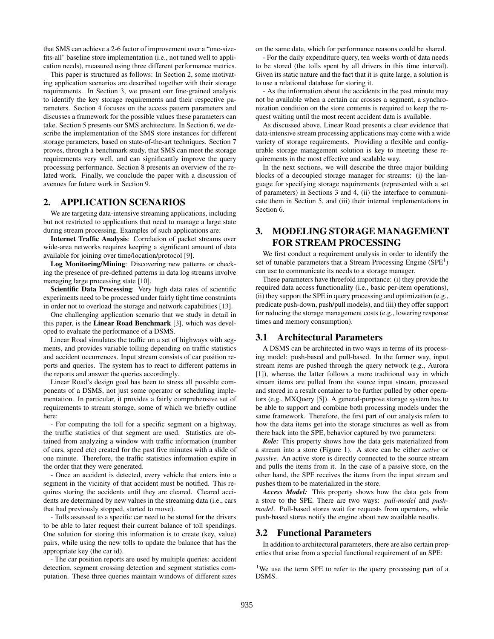that SMS can achieve a 2-6 factor of improvement over a "one-sizefits-all" baseline store implementation (i.e., not tuned well to application needs), measured using three different performance metrics.

This paper is structured as follows: In Section 2, some motivating application scenarios are described together with their storage requirements. In Section 3, we present our fine-grained analysis to identify the key storage requirements and their respective parameters. Section 4 focuses on the access pattern parameters and discusses a framework for the possible values these parameters can take. Section 5 presents our SMS architecture. In Section 6, we describe the implementation of the SMS store instances for different storage parameters, based on state-of-the-art techniques. Section 7 proves, through a benchmark study, that SMS can meet the storage requirements very well, and can significantly improve the query processing performance. Section 8 presents an overview of the related work. Finally, we conclude the paper with a discussion of avenues for future work in Section 9.

# 2. APPLICATION SCENARIOS

We are targeting data-intensive streaming applications, including but not restricted to applications that need to manage a large state during stream processing. Examples of such applications are:

Internet Traffic Analysis: Correlation of packet streams over wide-area networks requires keeping a significant amount of data available for joining over time/location/protocol [9].

Log Monitoring/Mining: Discovering new patterns or checking the presence of pre-defined patterns in data log streams involve managing large processing state [10].

Scientific Data Processing: Very high data rates of scientific experiments need to be processed under fairly tight time constraints in order not to overload the storage and network capabilities [13].

One challenging application scenario that we study in detail in this paper, is the Linear Road Benchmark [3], which was developed to evaluate the performance of a DSMS.

Linear Road simulates the traffic on a set of highways with segments, and provides variable tolling depending on traffic statistics and accident occurrences. Input stream consists of car position reports and queries. The system has to react to different patterns in the reports and answer the queries accordingly.

Linear Road's design goal has been to stress all possible components of a DSMS, not just some operator or scheduling implementation. In particular, it provides a fairly comprehensive set of requirements to stream storage, some of which we briefly outline here:

- For computing the toll for a specific segment on a highway, the traffic statistics of that segment are used. Statistics are obtained from analyzing a window with traffic information (number of cars, speed etc) created for the past five minutes with a slide of one minute. Therefore, the traffic statistics information expire in the order that they were generated.

- Once an accident is detected, every vehicle that enters into a segment in the vicinity of that accident must be notified. This requires storing the accidents until they are cleared. Cleared accidents are determined by new values in the streaming data (i.e., cars that had previously stopped, started to move).

- Tolls assessed to a specific car need to be stored for the drivers to be able to later request their current balance of toll spendings. One solution for storing this information is to create (key, value) pairs, while using the new tolls to update the balance that has the appropriate key (the car id).

- The car position reports are used by multiple queries: accident detection, segment crossing detection and segment statistics computation. These three queries maintain windows of different sizes on the same data, which for performance reasons could be shared.

- For the daily expenditure query, ten weeks worth of data needs to be stored (the tolls spent by all drivers in this time interval). Given its static nature and the fact that it is quite large, a solution is to use a relational database for storing it.

- As the information about the accidents in the past minute may not be available when a certain car crosses a segment, a synchronization condition on the store contents is required to keep the request waiting until the most recent accident data is available.

As discussed above, Linear Road presents a clear evidence that data-intensive stream processing applications may come with a wide variety of storage requirements. Providing a flexible and configurable storage management solution is key to meeting these requirements in the most effective and scalable way.

In the next sections, we will describe the three major building blocks of a decoupled storage manager for streams: (i) the language for specifying storage requirements (represented with a set of parameters) in Sections 3 and 4, (ii) the interface to communicate them in Section 5, and (iii) their internal implementations in Section 6.

# 3. MODELING STORAGE MANAGEMENT FOR STREAM PROCESSING

We first conduct a requirement analysis in order to identify the set of tunable parameters that a Stream Processing Engine  $(SPE<sup>1</sup>)$ can use to communicate its needs to a storage manager.

These parameters have threefold importance: (i) they provide the required data access functionality (i.e., basic per-item operations), (ii) they support the SPE in query processing and optimization (e.g., predicate push-down, push/pull models), and (iii) they offer support for reducing the storage management costs (e.g., lowering response times and memory consumption).

# 3.1 Architectural Parameters

A DSMS can be architected in two ways in terms of its processing model: push-based and pull-based. In the former way, input stream items are pushed through the query network (e.g., Aurora [1]), whereas the latter follows a more traditional way in which stream items are pulled from the source input stream, processed and stored in a result container to be further pulled by other operators (e.g., MXQuery [5]). A general-purpose storage system has to be able to support and combine both processing models under the same framework. Therefore, the first part of our analysis refers to how the data items get into the storage structures as well as from there back into the SPE, behavior captured by two parameters:

*Role:* This property shows how the data gets materialized from a stream into a store (Figure 1). A store can be either *active* or *passive*. An active store is directly connected to the source stream and pulls the items from it. In the case of a passive store, on the other hand, the SPE receives the items from the input stream and pushes them to be materialized in the store.

*Access Model:* This property shows how the data gets from a store to the SPE. There are two ways: *pull-model* and *pushmodel*. Pull-based stores wait for requests from operators, while push-based stores notify the engine about new available results.

### 3.2 Functional Parameters

In addition to architectural parameters, there are also certain properties that arise from a special functional requirement of an SPE:

<sup>&</sup>lt;sup>1</sup>We use the term SPE to refer to the query processing part of a DSMS.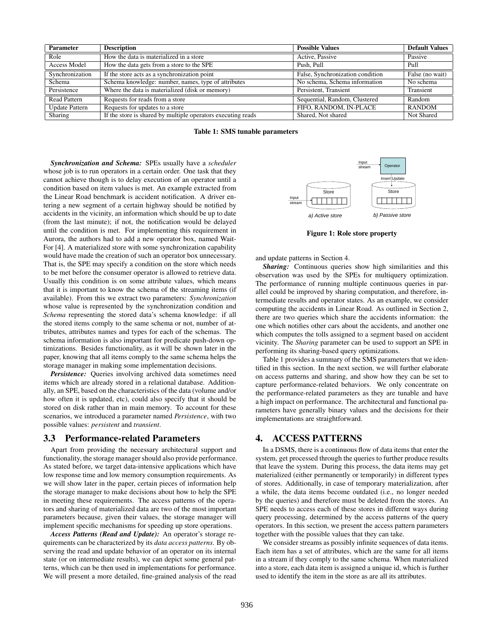| <b>Parameter</b>      | <b>Description</b>                                           | <b>Possible Values</b>           | <b>Default Values</b> |
|-----------------------|--------------------------------------------------------------|----------------------------------|-----------------------|
| Role                  | How the data is materialized in a store                      | Active, Passive                  | Passive               |
| <b>Access Model</b>   | How the data gets from a store to the SPE                    | Push, Pull                       | Pull                  |
| Synchronization       | If the store acts as a synchronization point                 | False, Synchronization condition | False (no wait)       |
| Schema                | Schema knowledge: number, names, type of attributes          | No schema, Schema information    | No schema             |
| Persistence           | Where the data is materialized (disk or memory)              | Persistent. Transient            | Transient             |
| <b>Read Pattern</b>   | Requests for reads from a store                              | Sequential, Random, Clustered    | Random                |
| <b>Update Pattern</b> | Requests for updates to a store                              | FIFO, RANDOM, IN-PLACE           | <b>RANDOM</b>         |
| Sharing               | If the store is shared by multiple operators executing reads | Shared, Not shared               | Not Shared            |

Table 1: SMS tunable parameters

*Synchronization and Schema:* SPEs usually have a *scheduler* whose job is to run operators in a certain order. One task that they cannot achieve though is to delay execution of an operator until a condition based on item values is met. An example extracted from the Linear Road benchmark is accident notification. A driver entering a new segment of a certain highway should be notified by accidents in the vicinity, an information which should be up to date (from the last minute); if not, the notification would be delayed until the condition is met. For implementing this requirement in Aurora, the authors had to add a new operator box, named Wait-For [4]. A materialized store with some synchronization capability would have made the creation of such an operator box unnecessary. That is, the SPE may specify a condition on the store which needs to be met before the consumer operator is allowed to retrieve data. Usually this condition is on some attribute values, which means that it is important to know the schema of the streaming items (if available). From this we extract two parameters: *Synchronization* whose value is represented by the synchronization condition and *Schema* representing the stored data's schema knowledge: if all the stored items comply to the same schema or not, number of attributes, attributes names and types for each of the schemas. The schema information is also important for predicate push-down optimizations. Besides functionality, as it will be shown later in the paper, knowing that all items comply to the same schema helps the storage manager in making some implementation decisions.

*Persistence:* Queries involving archived data sometimes need items which are already stored in a relational database. Additionally, an SPE, based on the characteristics of the data (volume and/or how often it is updated, etc), could also specify that it should be stored on disk rather than in main memory. To account for these scenarios, we introduced a parameter named *Persistence*, with two possible values: *persistent* and *transient*.

#### 3.3 Performance-related Parameters

Apart from providing the necessary architectural support and functionality, the storage manager should also provide performance. As stated before, we target data-intensive applications which have low response time and low memory consumption requirements. As we will show later in the paper, certain pieces of information help the storage manager to make decisions about how to help the SPE in meeting these requirements. The access patterns of the operators and sharing of materialized data are two of the most important parameters because, given their values, the storage manager will implement specific mechanisms for speeding up store operations.

*Access Patterns (Read and Update):* An operator's storage requirements can be characterized by its *data access patterns*. By observing the read and update behavior of an operator on its internal state (or on intermediate results), we can depict some general patterns, which can be then used in implementations for performance. We will present a more detailed, fine-grained analysis of the read



Figure 1: Role store property

and update patterns in Section 4.

*Sharing:* Continuous queries show high similarities and this observation was used by the SPEs for multiquery optimization. The performance of running multiple continuous queries in parallel could be improved by sharing computation, and therefore, intermediate results and operator states. As an example, we consider computing the accidents in Linear Road. As outlined in Section 2, there are two queries which share the accidents information: the one which notifies other cars about the accidents, and another one which computes the tolls assigned to a segment based on accident vicinity. The *Sharing* parameter can be used to support an SPE in performing its sharing-based query optimizations.

Table 1 provides a summary of the SMS parameters that we identified in this section. In the next section, we will further elaborate on access patterns and sharing, and show how they can be set to capture performance-related behaviors. We only concentrate on the performance-related parameters as they are tunable and have a high impact on performance. The architectural and functional parameters have generally binary values and the decisions for their implementations are straightforward.

# 4. ACCESS PATTERNS

In a DSMS, there is a continuous flow of data items that enter the system, get processed through the queries to further produce results that leave the system. During this process, the data items may get materialized (either permanently or temporarily) in different types of stores. Additionally, in case of temporary materialization, after a while, the data items become outdated (i.e., no longer needed by the queries) and therefore must be deleted from the stores. An SPE needs to access each of these stores in different ways during query processing, determined by the access patterns of the query operators. In this section, we present the access pattern parameters together with the possible values that they can take.

We consider streams as possibly infinite sequences of data items. Each item has a set of attributes, which are the same for all items in a stream if they comply to the same schema. When materialized into a store, each data item is assigned a unique id, which is further used to identify the item in the store as are all its attributes.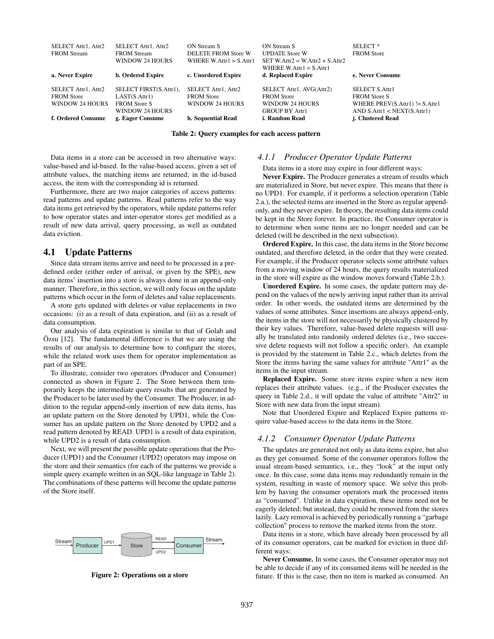| SELECT Attr1, Attr2<br><b>FROM Stream</b>                                         | SELECT Attr1, Attr2<br><b>FROM Stream</b><br>WINDOW 24 HOURS                                          | ON Stream S<br>DELETE FROM Store W<br>WHERE W. Attr $1 = S$ . Attr $1$            | <b>ON Stream S</b><br><b>UPDATE Store W</b><br>$SET W. Attr2 = W. Attr2 + S. Attr2$<br>WHERE W. Attr $l = S$ . Attr $l$ | SELECT <sup>*</sup><br><b>FROM Store</b>                                                                                                    |
|-----------------------------------------------------------------------------------|-------------------------------------------------------------------------------------------------------|-----------------------------------------------------------------------------------|-------------------------------------------------------------------------------------------------------------------------|---------------------------------------------------------------------------------------------------------------------------------------------|
| a. Never Expire                                                                   | <b>b.</b> Ordered Expire                                                                              | c. Unordered Expire                                                               | d. Replaced Expire                                                                                                      | e. Never Consume                                                                                                                            |
| SELECT Attr1, Attr2<br><b>FROM Store</b><br>WINDOW 24 HOURS<br>f. Ordered Consume | SELECT FIRST(S.Attr1),<br>LAST(S.Attr1)<br><b>FROM Store S</b><br>WINDOW 24 HOURS<br>g. Eager Consume | SELECT Attr1, Attr2<br><b>FROM Store</b><br>WINDOW 24 HOURS<br>h. Sequential Read | SELECT Attr1, AVG(Attr2)<br><b>FROM Store</b><br><b>WINDOW 24 HOURS</b><br><b>GROUP BY Attr1</b><br>i. Random Read      | <b>SELECT S.Attr1</b><br><b>FROM Store S</b><br>WHERE PREV( $S.$ Attr1) != $S.$ Attr1<br>AND S. Attr1 < NEXT(S. Attr1)<br>j. Clustered Read |

Table 2: Query examples for each access pattern

Data items in a store can be accessed in two alternative ways: value-based and id-based. In the value-based access, given a set of attribute values, the matching items are returned; in the id-based access, the item with the corresponding id is returned.

Furthermore, there are two major categories of access patterns: read patterns and update patterns. Read patterns refer to the way data items get retrieved by the operators, while update patterns refer to how operator states and inter-operator stores get modified as a result of new data arrival, query processing, as well as outdated data eviction.

### 4.1 Update Patterns

Since data stream items arrive and need to be processed in a predefined order (either order of arrival, or given by the SPE), new data items' insertion into a store is always done in an append-only manner. Therefore, in this section, we will only focus on the update patterns which occur in the form of deletes and value replacements.

A store gets updated with deletes or value replacements in two occasions: (i) as a result of data expiration, and (ii) as a result of data consumption.

Our analysis of data expiration is similar to that of Golab and Özsu [12]. The fundamental difference is that we are using the results of our analysis to determine how to configure the stores, while the related work uses them for operator implementation as part of an SPE.

To illustrate, consider two operators (Producer and Consumer) connected as shown in Figure 2. The Store between them temporarily keeps the intermediate query results that are generated by the Producer to be later used by the Consumer. The Producer, in addition to the regular append-only insertion of new data items, has an update pattern on the Store denoted by UPD1, while the Consumer has an update pattern on the Store denoted by UPD2 and a read pattern denoted by READ. UPD1 is a result of data expiration, while UPD2 is a result of data consumption.

Next, we will present the possible update operations that the Producer (UPD1) and the Consumer (UPD2) operators may impose on the store and their semantics (for each of the patterns we provide a simple query example written in an SQL-like language in Table 2). The combinations of these patterns will become the update patterns of the Store itself.



Figure 2: Operations on a store

#### *4.1.1 Producer Operator Update Patterns*

Data items in a store may expire in four different ways:

Never Expire. The Producer generates a stream of results which are materialized in Store, but never expire. This means that there is no UPD1. For example, if it performs a selection operation (Table 2.a.), the selected items are inserted in the Store as regular appendonly, and they never expire. In theory, the resulting data items could be kept in the Store forever. In practice, the Consumer operator is to determine when some items are no longer needed and can be deleted (will be described in the next subsection).

Ordered Expire. In this case, the data items in the Store become outdated, and therefore deleted, in the order that they were created. For example, if the Producer operator selects some attribute values from a moving window of 24 hours, the query results materialized in the store will expire as the window moves forward (Table 2.b.).

Unordered Expire. In some cases, the update pattern may depend on the values of the newly arriving input rather than its arrival order. In other words, the outdated items are determined by the values of some attributes. Since insertions are always append-only, the items in the store will not necessarily be physically clustered by their key values. Therefore, value-based delete requests will usually be translated into randomly ordered deletes (i.e., two successive delete requests will not follow a specific order). An example is provided by the statement in Table 2.c., which deletes from the Store the items having the same values for attribute "Attr1" as the items in the input stream.

Replaced Expire. Some store items expire when a new item replaces their attribute values. (e.g., if the Producer executes the query in Table 2.d., it will update the value of attribute "Attr2" in Store with new data from the input stream).

Note that Unordered Expire and Replaced Expire patterns require value-based access to the data items in the Store.

#### *4.1.2 Consumer Operator Update Patterns*

The updates are generated not only as data items expire, but also as they get consumed. Some of the consumer operators follow the usual stream-based semantics, i.e., they "look" at the input only once. In this case, some data items may redundantly remain in the system, resulting in waste of memory space. We solve this problem by having the consumer operators mark the processed items as "consumed". Unlike in data expiration, these items need not be eagerly deleted; but instead, they could be removed from the stores lazily. Lazy removal is achieved by periodically running a "garbage collection" process to remove the marked items from the store.

Data items in a store, which have already been processed by all of its consumer operators, can be marked for eviction in three different ways:

Never Consume. In some cases, the Consumer operator may not be able to decide if any of its consumed items will be needed in the future. If this is the case, then no item is marked as consumed. An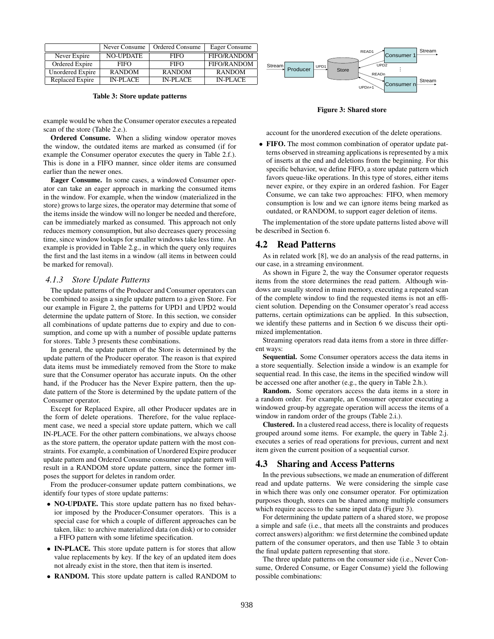|                  | Never Consume    | <b>Ordered Consume</b> | Eager Consume      |
|------------------|------------------|------------------------|--------------------|
| Never Expire     | <b>NO-UPDATE</b> | <b>FIFO</b>            | <b>FIFO/RANDOM</b> |
| Ordered Expire   | <b>FIFO</b>      | <b>FIFO</b>            | <b>FIFO/RANDOM</b> |
| Unordered Expire | <b>RANDOM</b>    | <b>RANDOM</b>          | <b>RANDOM</b>      |
| Replaced Expire  | <b>IN-PLACE</b>  | <b>IN-PLACE</b>        | <b>IN-PLACE</b>    |

Table 3: Store update patterns

example would be when the Consumer operator executes a repeated scan of the store (Table 2.e.).

Ordered Consume. When a sliding window operator moves the window, the outdated items are marked as consumed (if for example the Consumer operator executes the query in Table 2.f.). This is done in a FIFO manner, since older items are consumed earlier than the newer ones.

Eager Consume. In some cases, a windowed Consumer operator can take an eager approach in marking the consumed items in the window. For example, when the window (materialized in the store) grows to large sizes, the operator may determine that some of the items inside the window will no longer be needed and therefore, can be immediately marked as consumed. This approach not only reduces memory consumption, but also decreases query processing time, since window lookups for smaller windows take less time. An example is provided in Table 2.g., in which the query only requires the first and the last items in a window (all items in between could be marked for removal).

#### *4.1.3 Store Update Patterns*

The update patterns of the Producer and Consumer operators can be combined to assign a single update pattern to a given Store. For our example in Figure 2, the patterns for UPD1 and UPD2 would determine the update pattern of Store. In this section, we consider all combinations of update patterns due to expiry and due to consumption, and come up with a number of possible update patterns for stores. Table 3 presents these combinations.

In general, the update pattern of the Store is determined by the update pattern of the Producer operator. The reason is that expired data items must be immediately removed from the Store to make sure that the Consumer operator has accurate inputs. On the other hand, if the Producer has the Never Expire pattern, then the update pattern of the Store is determined by the update pattern of the Consumer operator.

Except for Replaced Expire, all other Producer updates are in the form of delete operations. Therefore, for the value replacement case, we need a special store update pattern, which we call IN-PLACE. For the other pattern combinations, we always choose as the store pattern, the operator update pattern with the most constraints. For example, a combination of Unordered Expire producer update pattern and Ordered Consume consumer update pattern will result in a RANDOM store update pattern, since the former imposes the support for deletes in random order.

From the producer-consumer update pattern combinations, we identify four types of store update patterns:

- NO-UPDATE. This store update pattern has no fixed behavior imposed by the Producer-Consumer operators. This is a special case for which a couple of different approaches can be taken, like: to archive materialized data (on disk) or to consider a FIFO pattern with some lifetime specification.
- IN-PLACE. This store update pattern is for stores that allow value replacements by key. If the key of an updated item does not already exist in the store, then that item is inserted.
- RANDOM. This store update pattern is called RANDOM to



Figure 3: Shared store

account for the unordered execution of the delete operations.

• FIFO. The most common combination of operator update patterns observed in streaming applications is represented by a mix of inserts at the end and deletions from the beginning. For this specific behavior, we define FIFO, a store update pattern which favors queue-like operations. In this type of stores, either items never expire, or they expire in an ordered fashion. For Eager Consume, we can take two approaches: FIFO, when memory consumption is low and we can ignore items being marked as outdated, or RANDOM, to support eager deletion of items.

The implementation of the store update patterns listed above will be described in Section 6.

# 4.2 Read Patterns

As in related work [8], we do an analysis of the read patterns, in our case, in a streaming environment.

As shown in Figure 2, the way the Consumer operator requests items from the store determines the read pattern. Although windows are usually stored in main memory, executing a repeated scan of the complete window to find the requested items is not an efficient solution. Depending on the Consumer operator's read access patterns, certain optimizations can be applied. In this subsection, we identify these patterns and in Section 6 we discuss their optimized implementation.

Streaming operators read data items from a store in three different ways:

Sequential. Some Consumer operators access the data items in a store sequentially. Selection inside a window is an example for sequential read. In this case, the items in the specified window will be accessed one after another (e.g., the query in Table 2.h.).

Random. Some operators access the data items in a store in a random order. For example, an Consumer operator executing a windowed group-by aggregate operation will access the items of a window in random order of the groups (Table 2.i.).

Clustered. In a clustered read access, there is locality of requests grouped around some items. For example, the query in Table 2.j. executes a series of read operations for previous, current and next item given the current position of a sequential cursor.

### 4.3 Sharing and Access Patterns

In the previous subsections, we made an enumeration of different read and update patterns. We were considering the simple case in which there was only one consumer operator. For optimization purposes though, stores can be shared among multiple consumers which require access to the same input data (Figure 3).

For determining the update pattern of a shared store, we propose a simple and safe (i.e., that meets all the constraints and produces correct answers) algorithm: we first determine the combined update pattern of the consumer operators, and then use Table 3 to obtain the final update pattern representing that store.

The three update patterns on the consumer side (i.e., Never Consume, Ordered Consume, or Eager Consume) yield the following possible combinations: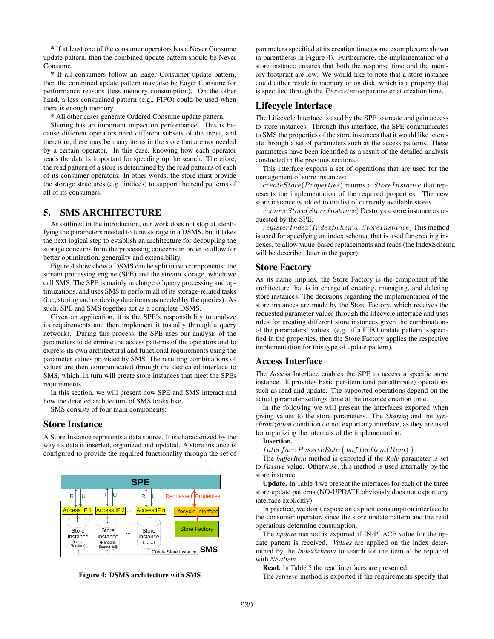\* If at least one of the consumer operators has a Never Consume update pattern, then the combined update pattern should be Never Consume.

\* If all consumers follow an Eager Consumer update pattern, then the combined update pattern may also be Eager Consume for performance reasons (less memory consumption). On the other hand, a less constrained pattern (e.g., FIFO) could be used when there is enough memory.

\* All other cases generate Ordered Consume update pattern.

Sharing has an important impact on performance. This is because different operators need different subsets of the input, and therefore, there may be many items in the store that are not needed by a certain operator. In this case, knowing how each operator reads the data is important for speeding up the search. Therefore, the read pattern of a store is determined by the read patterns of each of its consumer operators. In other words, the store must provide the storage structures (e.g., indices) to support the read patterns of all of its consumers.

# 5. SMS ARCHITECTURE

As outlined in the introduction, our work does not stop at identifying the parameters needed to tune storage in a DSMS, but it takes the next logical step to establish an architecture for decoupling the storage concerns from the processing concerns in order to allow for better optimization, generality and extensibility.

Figure 4 shows how a DSMS can be split in two components: the stream processing engine (SPE) and the stream storage, which we call SMS. The SPE is mainly in charge of query processing and optimizations, and uses SMS to perform all of its storage-related tasks (i.e., storing and retrieving data items as needed by the queries). As such, SPE and SMS together act as a complete DSMS.

Given an application, it is the SPE's responsibility to analyze its requirements and then implement it (usually through a query network). During this process, the SPE uses our analysis of the parameters to determine the access patterns of the operators and to express its own architectural and functional requirements using the parameter values provided by SMS. The resulting combinations of values are then communicated through the dedicated interface to SMS, which, in turn will create store instances that meet the SPEs requirements.

In this section, we will present how SPE and SMS interact and how the detailed architecture of SMS looks like.

SMS consists of four main components:

#### Store Instance

A Store Instance represents a data source. It is characterized by the way its data is inserted, organized and updated. A store instance is configured to provide the required functionality through the set of



Figure 4: DSMS architecture with SMS

parameters specified at its creation time (some examples are shown in parenthesis in Figure 4). Furthermore, the implementation of a store instance ensures that both the response time and the memory footprint are low. We would like to note that a store instance could either reside in memory or on disk, which is a property that is specified through the *Persistence* parameter at creation time.

#### Lifecycle Interface

The Lifecycle Interface is used by the SPE to create and gain access to store instances. Through this interface, the SPE communicates to SMS the properties of the store instances that it would like to create through a set of parameters such as the access patterns. These parameters have been identified as a result of the detailed analysis conducted in the previous sections.

This interface exports a set of operations that are used for the management of store instances:

createStore(Properties) returns a StoreInstance that represents the implementation of the required properties. The new store instance is added to the list of currently available stores.

removeStore(StoreInstance) Destroys a store instance as requested by the SPE.

registerIndex(IndexSchema, StoreInstance) This method is used for specifying an index schema, that is used for creating indexes, to allow value-based replacements and reads (the IndexSchema will be described later in the paper).

#### Store Factory

As its name implies, the Store Factory is the component of the architecture that is in charge of creating, managing, and deleting store instances. The decisions regarding the implementation of the store instances are made by the Store Factory, which receives the requested parameter values through the lifecycle interface and uses rules for creating different store instances given the combinations of the parameters' values. (e.g., if a FIFO update pattern is specified in the properties, then the Store Factory applies the respective implementation for this type of update pattern).

#### Access Interface

The Access Interface enables the SPE to access a specific store instance. It provides basic per-item (and per-attribute) operations such as read and update. The supported operations depend on the actual parameter settings done at the instance creation time.

In the following we will present the interfaces exported when giving values to the store parameters. The *Sharing* and the *Synchronization* condition do not export any interface, as they are used for organizing the internals of the implementation.

#### Insertion.

 $Interface \textit{Passive} \textit{Role} \{ \textit{buf} \} \{ \textit{ferItem} (\textit{Item}) \}$ 

The *bufferItem* method is exported if the *Role* parameter is set to *Passive* value. Otherwise, this method is used internally by the store instance.

Update. In Table 4 we present the interfaces for each of the three store update patterns (NO-UPDATE obviously does not export any interface explicitly).

In practice, we don't expose an explicit consumption interface to the consumer operator, since the store update pattern and the read operations determine consumption.

The *update* method is exported if IN-PLACE value for the update pattern is received. *Values* are applied on the index determined by the *IndexSchema* to search for the item to be replaced with *NewItem*.

Read. In Table 5 the read interfaces are presented.

The *retrieve* method is exported if the requirements specify that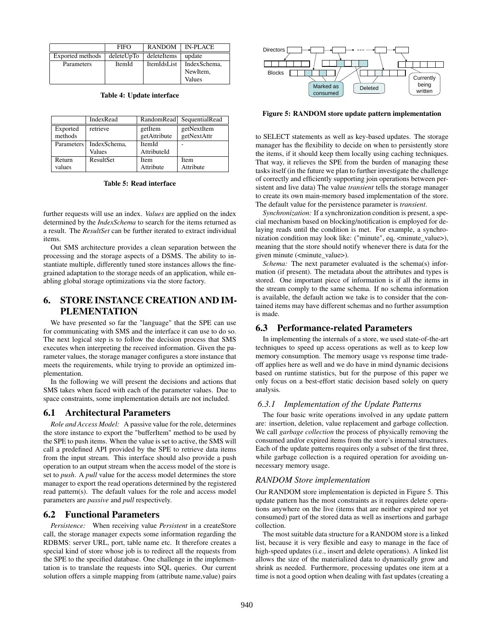|                  | <b>FIFO</b> | <b>RANDOM</b> | <b>IN-PLACE</b> |
|------------------|-------------|---------------|-----------------|
| Exported methods | deleteUpTo  | deleteItems   | update          |
| Parameters       | ItemId      | ItemIdsList   | IndexSchema.    |
|                  |             |               | NewItem.        |
|                  |             |               | Values          |

Table 4: Update interface

|            | IndexRead    | RandomRead   | SequentialRead |
|------------|--------------|--------------|----------------|
| Exported   | retrieve     | getItem      | getNextItem    |
| methods    |              | getAttribute | getNextAttr    |
| Parameters | IndexSchema, | ItemId       |                |
|            | Values       | AttributeId  |                |
| Return     | ResultSet    | Item         | Item           |
| values     |              | Attribute    | Attribute      |

Table 5: Read interface

further requests will use an index. *Values* are applied on the index determined by the *IndexSchema* to search for the items returned as a result. The *ResultSet* can be further iterated to extract individual items.

Out SMS architecture provides a clean separation between the processing and the storage aspects of a DSMS. The ability to instantiate multiple, differently tuned store instances allows the finegrained adaptation to the storage needs of an application, while enabling global storage optimizations via the store factory.

# **STORE INSTANCE CREATION AND IM-**PLEMENTATION

We have presented so far the "language" that the SPE can use for communicating with SMS and the interface it can use to do so. The next logical step is to follow the decision process that SMS executes when interpreting the received information. Given the parameter values, the storage manager configures a store instance that meets the requirements, while trying to provide an optimized implementation.

In the following we will present the decisions and actions that SMS takes when faced with each of the parameter values. Due to space constraints, some implementation details are not included.

# 6.1 Architectural Parameters

*Role and Access Model:* A passive value for the role, determines the store instance to export the "bufferItem" method to be used by the SPE to push items. When the value is set to active, the SMS will call a predefined API provided by the SPE to retrieve data items from the input stream. This interface should also provide a push operation to an output stream when the access model of the store is set to *push*. A *pull* value for the access model determines the store manager to export the read operations determined by the registered read pattern(s). The default values for the role and access model parameters are *passive* and *pull* respectively.

# 6.2 Functional Parameters

*Persistence:* When receiving value *Persistent* in a createStore call, the storage manager expects some information regarding the RDBMS: server URL, port, table name etc. It therefore creates a special kind of store whose job is to redirect all the requests from the SPE to the specified database. One challenge in the implementation is to translate the requests into SQL queries. Our current solution offers a simple mapping from (attribute name,value) pairs



Figure 5: RANDOM store update pattern implementation

to SELECT statements as well as key-based updates. The storage manager has the flexibility to decide on when to persistently store the items, if it should keep them locally using caching techniques. That way, it relieves the SPE from the burden of managing these tasks itself (in the future we plan to further investigate the challenge of correctly and efficiently supporting join operations between persistent and live data) The value *transient* tells the storage manager to create its own main-memory based implementation of the store. The default value for the persistence parameter is *transient*.

*Synchronization:* If a synchronization condition is present, a special mechanism based on blocking/notification is employed for delaying reads until the condition is met. For example, a synchronization condition may look like: ("minute", eq, <minute\_value>), meaning that the store should notify whenever there is data for the given minute (<minute\_value>).

*Schema:* The next parameter evaluated is the schema(s) information (if present). The metadata about the attributes and types is stored. One important piece of information is if all the items in the stream comply to the same schema. If no schema information is available, the default action we take is to consider that the contained items may have different schemas and no further assumption is made.

# 6.3 Performance-related Parameters

In implementing the internals of a store, we used state-of-the-art techniques to speed up access operations as well as to keep low memory consumption. The memory usage vs response time tradeoff applies here as well and we do have in mind dynamic decisions based on runtime statistics, but for the purpose of this paper we only focus on a best-effort static decision based solely on query analysis.

### *6.3.1 Implementation of the Update Patterns*

The four basic write operations involved in any update pattern are: insertion, deletion, value replacement and garbage collection. We call *garbage collection* the process of physically removing the consumed and/or expired items from the store's internal structures. Each of the update patterns requires only a subset of the first three, while garbage collection is a required operation for avoiding unnecessary memory usage.

### *RANDOM Store implementation*

Our RANDOM store implementation is depicted in Figure 5. This update pattern has the most constraints as it requires delete operations anywhere on the live (items that are neither expired nor yet consumed) part of the stored data as well as insertions and garbage collection.

The most suitable data structure for a RANDOM store is a linked list, because it is very flexible and easy to manage in the face of high-speed updates (i.e., insert and delete operations). A linked list allows the size of the materialized data to dynamically grow and shrink as needed. Furthermore, processing updates one item at a time is not a good option when dealing with fast updates (creating a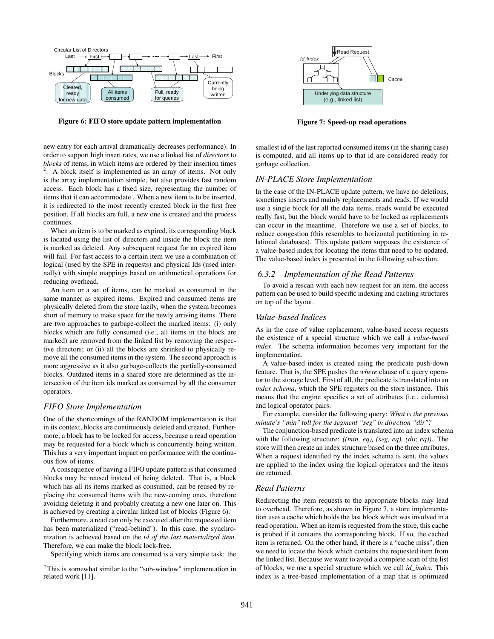

Figure 6: FIFO store update pattern implementation

new entry for each arrival dramatically decreases performance). In order to support high insert rates, we use a linked list of *directors* to *blocks* of items, in which items are ordered by their insertion times  $2$ . A block itself is implemented as an array of items. Not only is the array implementation simple, but also provides fast random access. Each block has a fixed size, representing the number of items that it can accommodate . When a new item is to be inserted, it is redirected to the most recently created block in the first free position. If all blocks are full, a new one is created and the process continues.

When an item is to be marked as expired, its corresponding block is located using the list of directors and inside the block the item is marked as deleted. Any subsequent request for an expired item will fail. For fast access to a certain item we use a combination of logical (used by the SPE in requests) and physical Ids (used internally) with simple mappings based on arithmetical operations for reducing overhead.

An item or a set of items, can be marked as consumed in the same manner as expired items. Expired and consumed items are physically deleted from the store lazily, when the system becomes short of memory to make space for the newly arriving items. There are two approaches to garbage-collect the marked items: (i) only blocks which are fully consumed (i.e., all items in the block are marked) are removed from the linked list by removing the respective directors; or (ii) all the blocks are shrinked to physically remove all the consumed items in the system. The second approach is more aggressive as it also garbage-collects the partially-consumed blocks. Outdated items in a shared store are determined as the intersection of the item ids marked as consumed by all the consumer operators.

#### *FIFO Store Implementation*

One of the shortcomings of the RANDOM implementation is that in its context, blocks are continuously deleted and created. Furthermore, a block has to be locked for access, because a read operation may be requested for a block which is concurrently being written. This has a very important impact on performance with the continuous flow of items.

A consequence of having a FIFO update pattern is that consumed blocks may be reused instead of being deleted. That is, a block which has all its items marked as consumed, can be reused by replacing the consumed items with the new-coming ones, therefore avoiding deleting it and probably creating a new one later on. This is achieved by creating a circular linked list of blocks (Figure 6).

Furthermore, a read can only be executed after the requested item has been materialized ("read-behind"). In this case, the synchronization is achieved based on the *id of the last materialized item*. Therefore, we can make the block lock-free.

Specifying which items are consumed is a very simple task: the



Figure 7: Speed-up read operations

smallest id of the last reported consumed items (in the sharing case) is computed, and all items up to that id are considered ready for garbage collection.

#### *IN-PLACE Store Implementation*

In the case of the IN-PLACE update pattern, we have no deletions, sometimes inserts and mainly replacements and reads. If we would use a single block for all the data items, reads would be executed really fast, but the block would have to be locked as replacements can occur in the meantime. Therefore we use a set of blocks, to reduce congestion (this resembles to horizontal partitioning in relational databases). This update pattern supposes the existence of a value-based index for locating the items that need to be updated. The value-based index is presented in the following subsection.

#### *6.3.2 Implementation of the Read Patterns*

To avoid a rescan with each new request for an item, the access pattern can be used to build specific indexing and caching structures on top of the layout.

#### *Value-based Indices*

As in the case of value replacement, value-based access requests the existence of a special structure which we call a *value-based index*. The schema information becomes very important for the implementation.

A value-based index is created using the predicate push-down feature. That is, the SPE pushes the *where* clause of a query operator to the storage level. First of all, the predicate is translated into an *index schema*, which the SPE registers on the store instance. This means that the engine specifies a set of attributes (i.e., columns) and logical operator pairs.

For example, consider the following query: *What is the previous minute's "min" toll for the segment "seg" in direction "dir"?*

The conjunction-based predicate is translated into an index schema with the following structure: *((min, eq), (seg, eq), (dir, eq))*. The store will then create an index structure based on the three attributes. When a request identified by the index schema is sent, the values are applied to the index using the logical operators and the items are returned.

#### *Read Patterns*

Redirecting the item requests to the appropriate blocks may lead to overhead. Therefore, as shown in Figure 7, a store implementation uses a cache which holds the last block which was involved in a read operation. When an item is requested from the store, this cache is probed if it contains the corresponding block. If so, the cached item is returned. On the other hand, if there is a "cache miss", then we need to locate the block which contains the requested item from the linked list. Because we want to avoid a complete scan of the list of blocks, we use a special structure which we call *id\_index*. This index is a tree-based implementation of a map that is optimized

<sup>&</sup>lt;sup>2</sup>This is somewhat similar to the "sub-window" implementation in related work [11].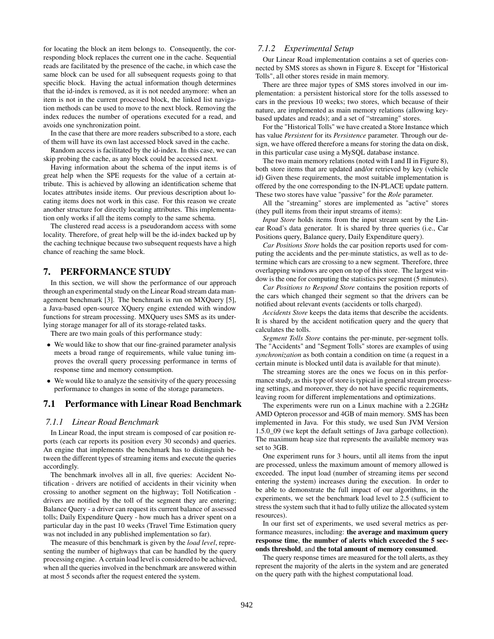for locating the block an item belongs to. Consequently, the corresponding block replaces the current one in the cache. Sequential reads are facilitated by the presence of the cache, in which case the same block can be used for all subsequent requests going to that specific block. Having the actual information though determines that the id-index is removed, as it is not needed anymore: when an item is not in the current processed block, the linked list navigation methods can be used to move to the next block. Removing the index reduces the number of operations executed for a read, and avoids one synchronization point.

In the case that there are more readers subscribed to a store, each of them will have its own last accessed block saved in the cache.

Random access is facilitated by the id-index. In this case, we can skip probing the cache, as any block could be accessed next.

Having information about the schema of the input items is of great help when the SPE requests for the value of a certain attribute. This is achieved by allowing an identification scheme that locates attributes inside items. Our previous description about locating items does not work in this case. For this reason we create another structure for directly locating attributes. This implementation only works if all the items comply to the same schema.

The clustered read access is a pseudorandom access with some locality. Therefore, of great help will be the id-index backed up by the caching technique because two subsequent requests have a high chance of reaching the same block.

# 7. PERFORMANCE STUDY

In this section, we will show the performance of our approach through an experimental study on the Linear Road stream data management benchmark [3]. The benchmark is run on MXQuery [5], a Java-based open-source XQuery engine extended with window functions for stream processing. MXQuery uses SMS as its underlying storage manager for all of its storage-related tasks.

There are two main goals of this performance study:

- We would like to show that our fine-grained parameter analysis meets a broad range of requirements, while value tuning improves the overall query processing performance in terms of response time and memory consumption.
- We would like to analyze the sensitivity of the query processing performance to changes in some of the storage parameters.

### 7.1 Performance with Linear Road Benchmark

#### *7.1.1 Linear Road Benchmark*

In Linear Road, the input stream is composed of car position reports (each car reports its position every 30 seconds) and queries. An engine that implements the benchmark has to distinguish between the different types of streaming items and execute the queries accordingly.

The benchmark involves all in all, five queries: Accident Notification - drivers are notified of accidents in their vicinity when crossing to another segment on the highway; Toll Notification drivers are notified by the toll of the segment they are entering; Balance Query - a driver can request its current balance of assessed tolls; Daily Expenditure Query - how much has a driver spent on a particular day in the past 10 weeks (Travel Time Estimation query was not included in any published implementation so far).

The measure of this benchmark is given by the *load level*, representing the number of highways that can be handled by the query processing engine. A certain load level is considered to be achieved, when all the queries involved in the benchmark are answered within at most 5 seconds after the request entered the system.

#### *7.1.2 Experimental Setup*

Our Linear Road implementation contains a set of queries connected by SMS stores as shown in Figure 8. Except for "Historical Tolls", all other stores reside in main memory.

There are three major types of SMS stores involved in our implementation: a persistent historical store for the tolls assessed to cars in the previous 10 weeks; two stores, which because of their nature, are implemented as main memory relations (allowing keybased updates and reads); and a set of "streaming" stores.

For the "Historical Tolls" we have created a Store Instance which has value *Persistent* for its *Persistence* parameter. Through our design, we have offered therefore a means for storing the data on disk, in this particular case using a MySQL database instance.

The two main memory relations (noted with I and II in Figure 8), both store items that are updated and/or retrieved by key (vehicle id) Given these requirements, the most suitable implementation is offered by the one corresponding to the IN-PLACE update pattern. These two stores have value "passive" for the *Role* parameter.

All the "streaming" stores are implemented as "active" stores (they pull items from their input streams of items):

*Input Store* holds items from the input stream sent by the Linear Road's data generator. It is shared by three queries (i.e., Car Positions query, Balance query, Daily Expenditure query).

*Car Positions Store* holds the car position reports used for computing the accidents and the per-minute statistics, as well as to determine which cars are crossing to a new segment. Therefore, three overlapping windows are open on top of this store. The largest window is the one for computing the statistics per segment (5 minutes).

*Car Positions to Respond Store* contains the position reports of the cars which changed their segment so that the drivers can be notified about relevant events (accidents or tolls charged).

*Accidents Store* keeps the data items that describe the accidents. It is shared by the accident notification query and the query that calculates the tolls.

*Segment Tolls Store* contains the per-minute, per-segment tolls. The "Accidents" and "Segment Tolls" stores are examples of using *synchronization* as both contain a condition on time (a request in a certain minute is blocked until data is available for that minute).

The streaming stores are the ones we focus on in this performance study, as this type of store is typical in general stream processing settings, and moreover, they do not have specific requirements, leaving room for different implementations and optimizations.

The experiments were run on a Linux machine with a 2.2GHz AMD Opteron processor and 4GB of main memory. SMS has been implemented in Java. For this study, we used Sun JVM Version 1.5.0\_09 (we kept the default settings of Java garbage collection). The maximum heap size that represents the available memory was set to 3GB.

One experiment runs for 3 hours, until all items from the input are processed, unless the maximum amount of memory allowed is exceeded. The input load (number of streaming items per second entering the system) increases during the execution. In order to be able to demonstrate the full impact of our algorithms, in the experiments, we set the benchmark load level to 2.5 (sufficient to stress the system such that it had to fully utilize the allocated system resources).

In our first set of experiments, we used several metrics as performance measures, including: the average and maximum query response time, the number of alerts which exceeded the 5 seconds threshold, and the total amount of memory consumed.

The query response times are measured for the toll alerts, as they represent the majority of the alerts in the system and are generated on the query path with the highest computational load.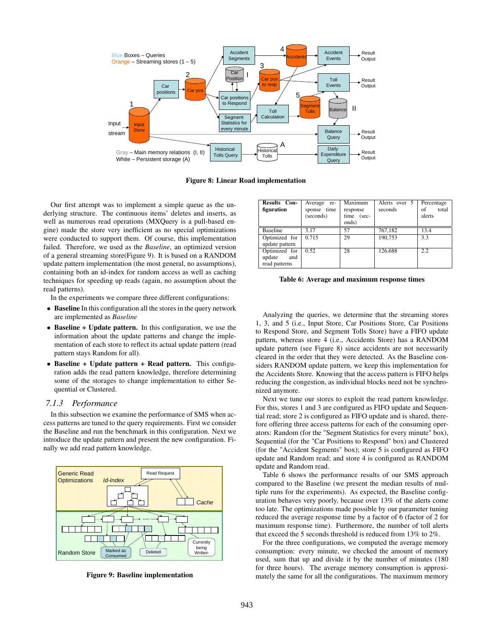

Figure 8: Linear Road implementation

Our first attempt was to implement a simple queue as the underlying structure. The continuous items' deletes and inserts, as well as numerous read operations (MXQuery is a pull-based engine) made the store very inefficient as no special optimizations were conducted to support them. Of course, this implementation failed. Therefore, we used as the *Baseline*, an optimized version of a general streaming store(Figure 9). It is based on a RANDOM update pattern implementation (the most general, no assumptions), containing both an id-index for random access as well as caching techniques for speeding up reads (again, no assumption about the read patterns).

In the experiments we compare three different configurations:

- Baseline In this configuration all the stores in the query network are implemented as *Baseline*
- Baseline + Update pattern. In this configuration, we use the information about the update patterns and change the implementation of each store to reflect its actual update pattern (read pattern stays Random for all).
- Baseline + Update pattern + Read pattern. This configuration adds the read pattern knowledge, therefore determining some of the storages to change implementation to either Sequential or Clustered.

#### *7.1.3 Performance*

In this subsection we examine the performance of SMS when access patterns are tuned to the query requirements. First we consider the Baseline and run the benchmark in this configuration. Next we introduce the update pattern and present the new configuration. Finally we add read pattern knowledge.



Figure 9: Baseline implementation

| Results Con-<br>figuration                      | Average<br>re-<br>sponse time<br>(seconds) | Maximum<br>response<br>time (sec-<br>onds) | Alerts over 5  <br>seconds | Percentage<br>of<br>total<br>alerts |
|-------------------------------------------------|--------------------------------------------|--------------------------------------------|----------------------------|-------------------------------------|
| <b>Baseline</b>                                 | 3.17                                       | 57                                         | 767,182                    | 13.4                                |
| Optimized for<br>update pattern                 | 0.715                                      | 29                                         | 190,753                    | 3.3                                 |
| Optimized for<br>update<br>and<br>read patterns | 0.52                                       | 28                                         | 126,688                    | 2.2                                 |

Table 6: Average and maximum response times

Analyzing the queries, we determine that the streaming stores 1, 3, and 5 (i.e., Input Store, Car Positions Store, Car Positions to Respond Store, and Segment Tolls Store) have a FIFO update pattern, whereas store 4 (i.e., Accidents Store) has a RANDOM update pattern (see Figure 8) since accidents are not necessarily cleared in the order that they were detected. As the Baseline considers RANDOM update pattern, we keep this implementation for the Accidents Store. Knowing that the access pattern is FIFO helps reducing the congestion, as individual blocks need not be synchronized anymore.

Next we tune our stores to exploit the read pattern knowledge. For this, stores 1 and 3 are configured as FIFO update and Sequential read; store 2 is configured as FIFO update and is shared, therefore offering three access patterns for each of the consuming operators: Random (for the "Segment Statistics for every minute" box), Sequential (for the "Car Positions to Respond" box) and Clustered (for the "Accident Segments" box); store 5 is configured as FIFO update and Random read; and store 4 is configured as RANDOM update and Random read.

Table 6 shows the performance results of our SMS approach compared to the Baseline (we present the median results of multiple runs for the experiments). As expected, the Baseline configuration behaves very poorly, because over 13% of the alerts come too late. The optimizations made possible by our parameter tuning reduced the average response time by a factor of 6 (factor of 2 for maximum response time). Furthermore, the number of toll alerts that exceed the 5 seconds threshold is reduced from 13% to 2%.

For the three configurations, we computed the average memory consumption: every minute, we checked the amount of memory used, sum that up and divide it by the number of minutes (180 for three hours). The average memory consumption is approximately the same for all the configurations. The maximum memory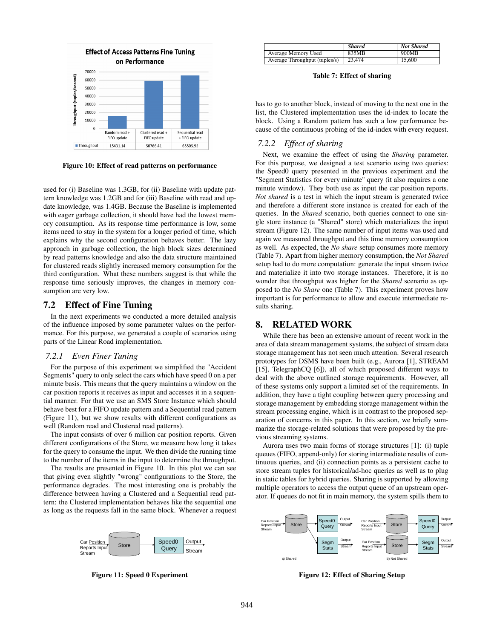

Figure 10: Effect of read patterns on performance

used for (i) Baseline was 1.3GB, for (ii) Baseline with update pattern knowledge was 1.2GB and for (iii) Baseline with read and update knowledge, was 1.4GB. Because the Baseline is implemented with eager garbage collection, it should have had the lowest memory consumption. As its response time performance is low, some items need to stay in the system for a longer period of time, which explains why the second configuration behaves better. The lazy approach in garbage collection, the high block sizes determined by read patterns knowledge and also the data structure maintained for clustered reads slightly increased memory consumption for the third configuration. What these numbers suggest is that while the response time seriously improves, the changes in memory consumption are very low.

#### 7.2 Effect of Fine Tuning

In the next experiments we conducted a more detailed analysis of the influence imposed by some parameter values on the performance. For this purpose, we generated a couple of scenarios using parts of the Linear Road implementation.

#### *7.2.1 Even Finer Tuning*

For the purpose of this experiment we simplified the "Accident Segments" query to only select the cars which have speed 0 on a per minute basis. This means that the query maintains a window on the car position reports it receives as input and accesses it in a sequential manner. For that we use an SMS Store Instance which should behave best for a FIFO update pattern and a Sequential read pattern (Figure 11), but we show results with different configurations as well (Random read and Clustered read patterns).

The input consists of over 6 million car position reports. Given different configurations of the Store, we measure how long it takes for the query to consume the input. We then divide the running time to the number of the items in the input to determine the throughput.

The results are presented in Figure 10. In this plot we can see that giving even slightly "wrong" configurations to the Store, the performance degrades. The most interesting one is probably the difference between having a Clustered and a Sequential read pattern: the Clustered implementation behaves like the sequential one as long as the requests fall in the same block. Whenever a request





|                               | <b>Shared</b> | <b>Not Shared</b> |
|-------------------------------|---------------|-------------------|
| Average Memory Used           | 835MB         | 900MB             |
| Average Throughput (tuples/s) | 23,474        | 15,600            |

Table 7: Effect of sharing

has to go to another block, instead of moving to the next one in the list, the Clustered implementation uses the id-index to locate the block. Using a Random pattern has such a low performance because of the continuous probing of the id-index with every request.

#### *7.2.2 Effect of sharing*

Next, we examine the effect of using the *Sharing* parameter. For this purpose, we designed a test scenario using two queries: the Speed0 query presented in the previous experiment and the "Segment Statistics for every minute" query (it also requires a one minute window). They both use as input the car position reports. *Not shared* is a test in which the input stream is generated twice and therefore a different store instance is created for each of the queries. In the *Shared* scenario, both queries connect to one single store instance (a "Shared" store) which materializes the input stream (Figure 12). The same number of input items was used and again we measured throughput and this time memory consumption as well. As expected, the *No share* setup consumes more memory (Table 7). Apart from higher memory consumption, the *Not Shared* setup had to do more computation: generate the input stream twice and materialize it into two storage instances. Therefore, it is no wonder that throughput was higher for the *Shared* scenario as opposed to the *No Share* one (Table 7). This experiment proves how important is for performance to allow and execute intermediate results sharing.

# 8. RELATED WORK

While there has been an extensive amount of recent work in the area of data stream management systems, the subject of stream data storage management has not seen much attention. Several research prototypes for DSMS have been built (e.g., Aurora [1], STREAM [15], TelegraphCQ [6]), all of which proposed different ways to deal with the above outlined storage requirements. However, all of these systems only support a limited set of the requirements. In addition, they have a tight coupling between query processing and storage management by embedding storage management within the stream processing engine, which is in contrast to the proposed separation of concerns in this paper. In this section, we briefly summarize the storage-related solutions that were proposed by the previous streaming systems.

Aurora uses two main forms of storage structures [1]: (i) tuple queues (FIFO, append-only) for storing intermediate results of continuous queries, and (ii) connection points as a persistent cache to store stream tuples for historical/ad-hoc queries as well as to plug in static tables for hybrid queries. Sharing is supported by allowing multiple operators to access the output queue of an upstream operator. If queues do not fit in main memory, the system spills them to



Figure 12: Effect of Sharing Setup